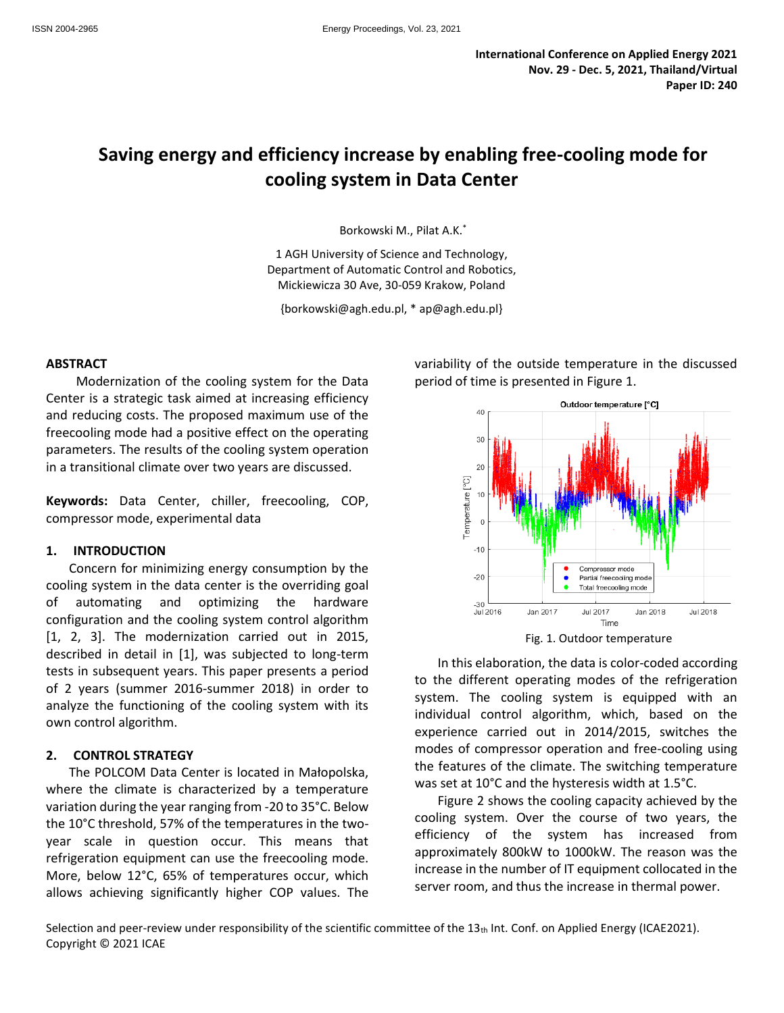# **Saving energy and efficiency increase by enabling free-cooling mode for cooling system in Data Center**

Borkowski M., Pilat A.K.\*

1 AGH University of Science and Technology, Department of Automatic Control and Robotics, Mickiewicza 30 Ave, 30-059 Krakow, Poland

{borkowski@agh.edu.pl, \* ap@agh.edu.pl}

#### **ABSTRACT**

Modernization of the cooling system for the Data Center is a strategic task aimed at increasing efficiency and reducing costs. The proposed maximum use of the freecooling mode had a positive effect on the operating parameters. The results of the cooling system operation in a transitional climate over two years are discussed.

**Keywords:** Data Center, chiller, freecooling, COP, compressor mode, experimental data

#### **1. INTRODUCTION**

Concern for minimizing energy consumption by the cooling system in the data center is the overriding goal of automating and optimizing the hardware configuration and the cooling system control algorithm [1, 2, 3]. The modernization carried out in 2015, described in detail in [1], was subjected to long-term tests in subsequent years. This paper presents a period of 2 years (summer 2016-summer 2018) in order to analyze the functioning of the cooling system with its own control algorithm.

#### **2. CONTROL STRATEGY**

The POLCOM Data Center is located in Małopolska, where the climate is characterized by a temperature variation during the year ranging from -20 to 35°C. Below the 10°C threshold, 57% of the temperatures in the twoyear scale in question occur. This means that refrigeration equipment can use the freecooling mode. More, below 12°C, 65% of temperatures occur, which allows achieving significantly higher COP values. The variability of the outside temperature in the discussed period of time is presented in Figure 1.



Fig. 1. Outdoor temperature

In this elaboration, the data is color-coded according to the different operating modes of the refrigeration system. The cooling system is equipped with an individual control algorithm, which, based on the experience carried out in 2014/2015, switches the modes of compressor operation and free-cooling using the features of the climate. The switching temperature was set at 10°C and the hysteresis width at 1.5°C.

Figure 2 shows the cooling capacity achieved by the cooling system. Over the course of two years, the efficiency of the system has increased from approximately 800kW to 1000kW. The reason was the increase in the number of IT equipment collocated in the server room, and thus the increase in thermal power.

Selection and peer-review under responsibility of the scientific committee of the  $13<sub>th</sub>$  Int. Conf. on Applied Energy (ICAE2021). Copyright © 2021 ICAE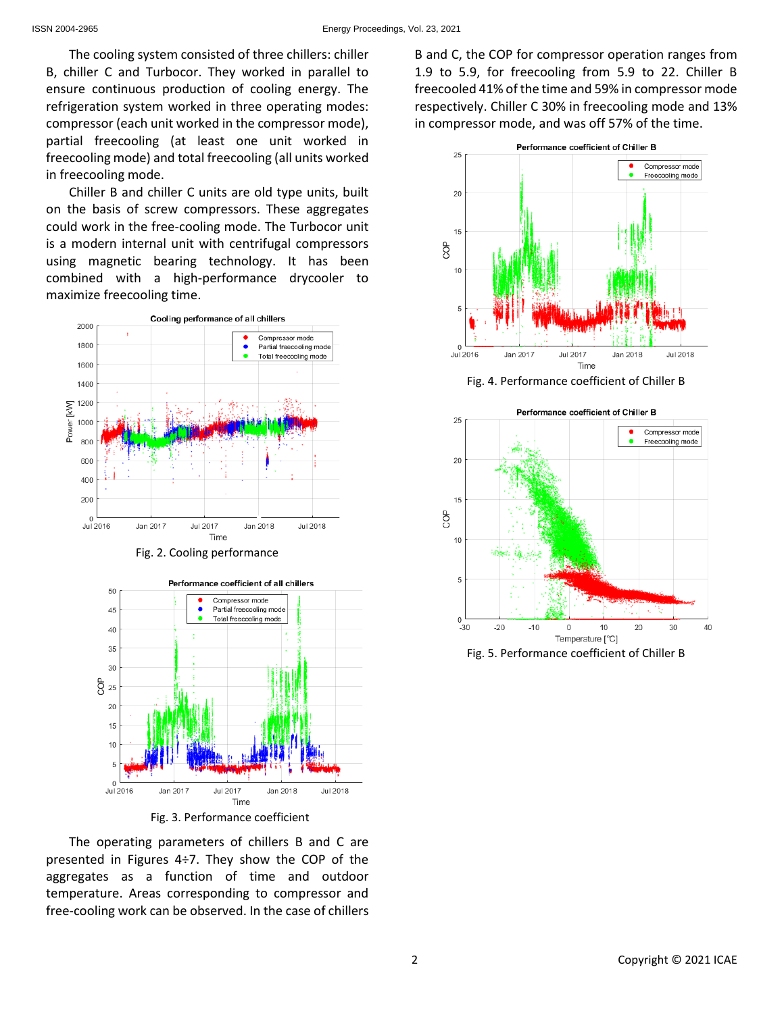The cooling system consisted of three chillers: chiller B, chiller C and Turbocor. They worked in parallel to ensure continuous production of cooling energy. The refrigeration system worked in three operating modes: compressor (each unit worked in the compressor mode), partial freecooling (at least one unit worked in freecooling mode) and total freecooling (all units worked in freecooling mode.

Chiller B and chiller C units are old type units, built on the basis of screw compressors. These aggregates could work in the free-cooling mode. The Turbocor unit is a modern internal unit with centrifugal compressors using magnetic bearing technology. It has been combined with a high-performance drycooler to maximize freecooling time.



Fig. 2. Cooling performance



Fig. 3. Performance coefficient

The operating parameters of chillers B and C are presented in Figures 4÷7. They show the COP of the aggregates as a function of time and outdoor temperature. Areas corresponding to compressor and free-cooling work can be observed. In the case of chillers

B and C, the COP for compressor operation ranges from 1.9 to 5.9, for freecooling from 5.9 to 22. Chiller B freecooled 41% of the time and 59% in compressor mode respectively. Chiller C 30% in freecooling mode and 13% in compressor mode, and was off 57% of the time.



Fig. 4. Performance coefficient of Chiller B



Fig. 5. Performance coefficient of Chiller B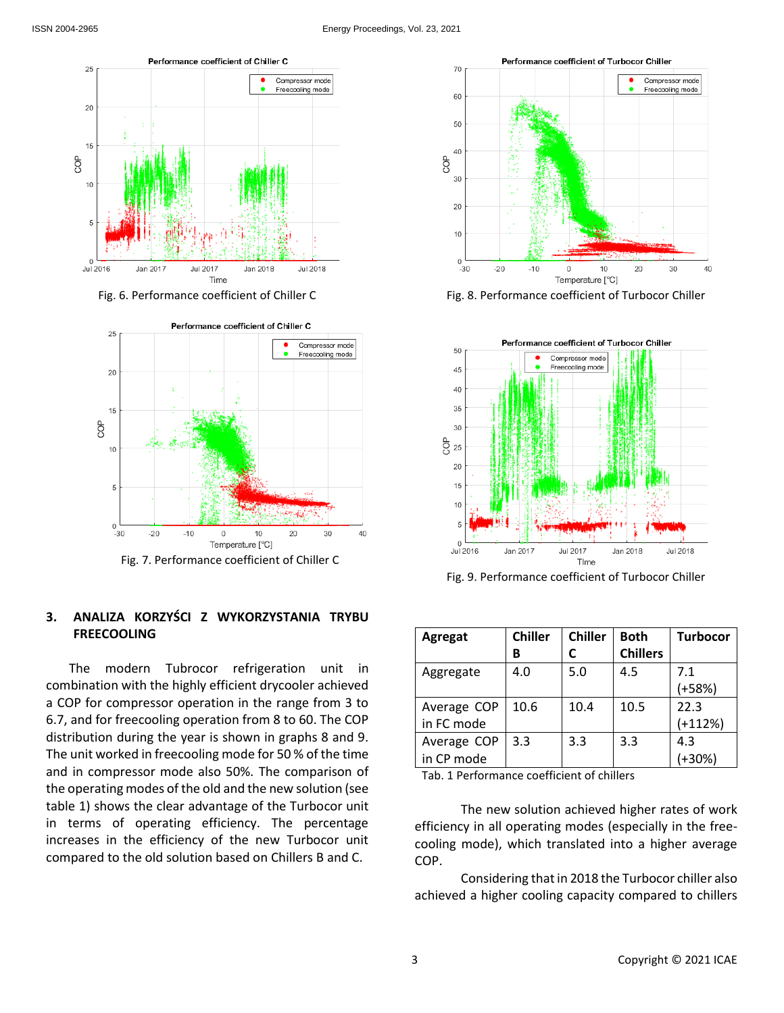

Fig. 6. Performance coefficient of Chiller C



## **3. ANALIZA KORZYŚCI Z WYKORZYSTANIA TRYBU FREECOOLING**

The modern Tubrocor refrigeration unit in combination with the highly efficient drycooler achieved a COP for compressor operation in the range from 3 to 6.7, and for freecooling operation from 8 to 60. The COP distribution during the year is shown in graphs 8 and 9. The unit worked in freecooling mode for 50 % of the time and in compressor mode also 50%. The comparison of the operating modes of the old and the new solution (see table 1) shows the clear advantage of the Turbocor unit in terms of operating efficiency. The percentage increases in the efficiency of the new Turbocor unit compared to the old solution based on Chillers B and C.



Fig. 8. Performance coefficient of Turbocor Chiller



Fig. 9. Performance coefficient of Turbocor Chiller

| Agregat     | <b>Chiller</b> | <b>Chiller</b> | <b>Both</b>     | <b>Turbocor</b> |
|-------------|----------------|----------------|-----------------|-----------------|
|             | в              |                | <b>Chillers</b> |                 |
| Aggregate   | 4.0            | 5.0            | 4.5             | 7.1             |
|             |                |                |                 | $(+58%)$        |
| Average COP | 10.6           | 10.4           | 10.5            | 22.3            |
| in FC mode  |                |                |                 | $(+112%)$       |
| Average COP | 3.3            | 3.3            | 3.3             | 4.3             |
| in CP mode  |                |                |                 | $+30%$          |

Tab. 1 Performance coefficient of chillers

The new solution achieved higher rates of work efficiency in all operating modes (especially in the freecooling mode), which translated into a higher average COP.

Considering that in 2018 the Turbocor chiller also achieved a higher cooling capacity compared to chillers